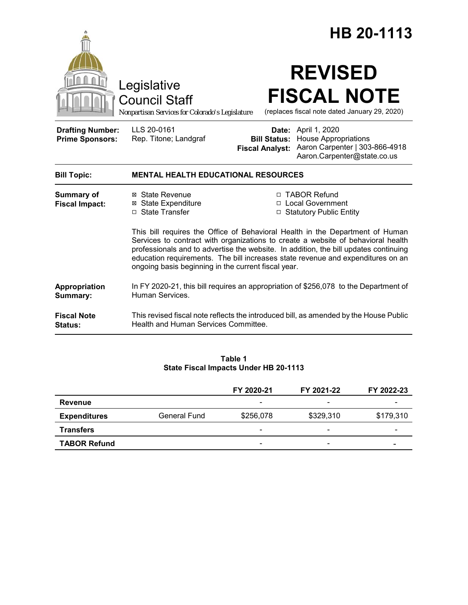|                                                                                        |                                                                                                                                                                                                                                                                                                                                                                                                     | HB 20-1113                                                                            |                                                                                                                     |  |  |
|----------------------------------------------------------------------------------------|-----------------------------------------------------------------------------------------------------------------------------------------------------------------------------------------------------------------------------------------------------------------------------------------------------------------------------------------------------------------------------------------------------|---------------------------------------------------------------------------------------|---------------------------------------------------------------------------------------------------------------------|--|--|
| Legislative<br><b>Council Staff</b><br>Nonpartisan Services for Colorado's Legislature |                                                                                                                                                                                                                                                                                                                                                                                                     | <b>REVISED</b><br><b>FISCAL NOTE</b><br>(replaces fiscal note dated January 29, 2020) |                                                                                                                     |  |  |
| <b>Drafting Number:</b><br><b>Prime Sponsors:</b>                                      | LLS 20-0161<br>Rep. Titone; Landgraf                                                                                                                                                                                                                                                                                                                                                                | <b>Bill Status:</b><br><b>Fiscal Analyst:</b>                                         | Date: April 1, 2020<br><b>House Appropriations</b><br>Aaron Carpenter   303-866-4918<br>Aaron.Carpenter@state.co.us |  |  |
| <b>Bill Topic:</b>                                                                     | <b>MENTAL HEALTH EDUCATIONAL RESOURCES</b>                                                                                                                                                                                                                                                                                                                                                          |                                                                                       |                                                                                                                     |  |  |
| <b>Summary of</b><br><b>Fiscal Impact:</b>                                             | ⊠ State Revenue<br><b>⊠ State Expenditure</b><br>□ State Transfer                                                                                                                                                                                                                                                                                                                                   |                                                                                       | □ TABOR Refund<br>□ Local Government<br>□ Statutory Public Entity                                                   |  |  |
|                                                                                        | This bill requires the Office of Behavioral Health in the Department of Human<br>Services to contract with organizations to create a website of behavioral health<br>professionals and to advertise the website. In addition, the bill updates continuing<br>education requirements. The bill increases state revenue and expenditures on an<br>ongoing basis beginning in the current fiscal year. |                                                                                       |                                                                                                                     |  |  |
| Appropriation<br>Summary:                                                              | In FY 2020-21, this bill requires an appropriation of \$256,078 to the Department of<br>Human Services.                                                                                                                                                                                                                                                                                             |                                                                                       |                                                                                                                     |  |  |
| <b>Fiscal Note</b><br>Status:                                                          | This revised fiscal note reflects the introduced bill, as amended by the House Public<br>Health and Human Services Committee.                                                                                                                                                                                                                                                                       |                                                                                       |                                                                                                                     |  |  |

#### **Table 1 State Fiscal Impacts Under HB 20-1113**

|                     |              | FY 2020-21               | FY 2021-22 | FY 2022-23 |
|---------------------|--------------|--------------------------|------------|------------|
| Revenue             |              | -                        | -          |            |
| <b>Expenditures</b> | General Fund | \$256,078                | \$329,310  | \$179,310  |
| <b>Transfers</b>    |              | -                        | -          | -          |
| <b>TABOR Refund</b> |              | $\overline{\phantom{0}}$ | -          |            |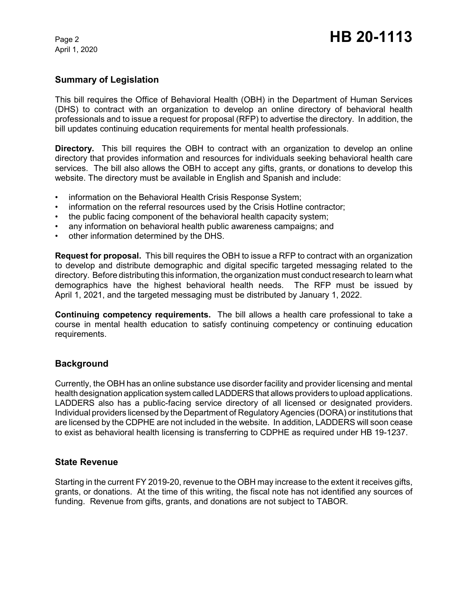April 1, 2020

## **Summary of Legislation**

This bill requires the Office of Behavioral Health (OBH) in the Department of Human Services (DHS) to contract with an organization to develop an online directory of behavioral health professionals and to issue a request for proposal (RFP) to advertise the directory. In addition, the bill updates continuing education requirements for mental health professionals.

**Directory.** This bill requires the OBH to contract with an organization to develop an online directory that provides information and resources for individuals seeking behavioral health care services. The bill also allows the OBH to accept any gifts, grants, or donations to develop this website. The directory must be available in English and Spanish and include:

- information on the Behavioral Health Crisis Response System;
- information on the referral resources used by the Crisis Hotline contractor;
- the public facing component of the behavioral health capacity system;
- any information on behavioral health public awareness campaigns; and
- other information determined by the DHS.

**Request for proposal.** This bill requires the OBH to issue a RFP to contract with an organization to develop and distribute demographic and digital specific targeted messaging related to the directory. Before distributing this information, the organization must conduct research to learn what demographics have the highest behavioral health needs. The RFP must be issued by April 1, 2021, and the targeted messaging must be distributed by January 1, 2022.

**Continuing competency requirements.** The bill allows a health care professional to take a course in mental health education to satisfy continuing competency or continuing education requirements.

### **Background**

Currently, the OBH has an online substance use disorder facility and provider licensing and mental health designation application system called LADDERS that allows providers to upload applications. LADDERS also has a public-facing service directory of all licensed or designated providers. Individual providers licensed by the Department of Regulatory Agencies (DORA) or institutions that are licensed by the CDPHE are not included in the website. In addition, LADDERS will soon cease to exist as behavioral health licensing is transferring to CDPHE as required under HB 19-1237.

### **State Revenue**

Starting in the current FY 2019-20, revenue to the OBH may increase to the extent it receives gifts, grants, or donations. At the time of this writing, the fiscal note has not identified any sources of funding. Revenue from gifts, grants, and donations are not subject to TABOR.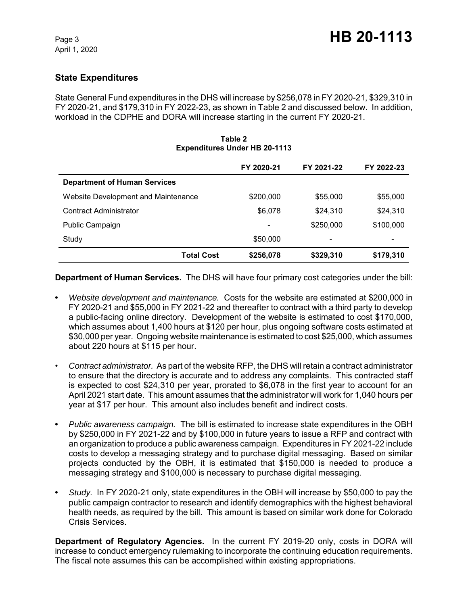# **State Expenditures**

State General Fund expenditures in the DHS will increase by \$256,078 in FY 2020-21, \$329,310 in FY 2020-21, and \$179,310 in FY 2022-23, as shown in Table 2 and discussed below. In addition, workload in the CDPHE and DORA will increase starting in the current FY 2020-21.

| LADGHUILUIGS UNUGI TID ZU-TTIJ             |            |            |            |  |  |  |
|--------------------------------------------|------------|------------|------------|--|--|--|
|                                            | FY 2020-21 | FY 2021-22 | FY 2022-23 |  |  |  |
| <b>Department of Human Services</b>        |            |            |            |  |  |  |
| <b>Website Development and Maintenance</b> | \$200,000  | \$55,000   | \$55,000   |  |  |  |
| <b>Contract Administrator</b>              | \$6,078    | \$24,310   | \$24,310   |  |  |  |
| Public Campaign                            |            | \$250,000  | \$100,000  |  |  |  |
| Study                                      | \$50,000   | -          |            |  |  |  |
| <b>Total Cost</b>                          | \$256,078  | \$329,310  | \$179,310  |  |  |  |

#### **Table 2 Expenditures Under HB 20-1113**

**Department of Human Services.** The DHS will have four primary cost categories under the bill:

- **•** *Website development and maintenance.*Costs for the website are estimated at \$200,000 in FY 2020-21 and \$55,000 in FY 2021-22 and thereafter to contract with a third party to develop a public-facing online directory. Development of the website is estimated to cost \$170,000, which assumes about 1,400 hours at \$120 per hour, plus ongoing software costs estimated at \$30,000 per year. Ongoing website maintenance is estimated to cost \$25,000, which assumes about 220 hours at \$115 per hour.
- *Contract administrator.* As part of the website RFP, the DHS will retain a contract administrator to ensure that the directory is accurate and to address any complaints. This contracted staff is expected to cost \$24,310 per year, prorated to \$6,078 in the first year to account for an April 2021 start date. This amount assumes that the administrator will work for 1,040 hours per year at \$17 per hour. This amount also includes benefit and indirect costs.
- **•** *Public awareness campaign.*The bill is estimated to increase state expenditures in the OBH by \$250,000 in FY 2021-22 and by \$100,000 in future years to issue a RFP and contract with an organization to produce a public awareness campaign. Expenditures in FY 2021-22 include costs to develop a messaging strategy and to purchase digital messaging. Based on similar projects conducted by the OBH, it is estimated that \$150,000 is needed to produce a messaging strategy and \$100,000 is necessary to purchase digital messaging.
- **•** *Study.* In FY 2020-21 only, state expenditures in the OBH will increase by \$50,000 to pay the public campaign contractor to research and identify demographics with the highest behavioral health needs, as required by the bill. This amount is based on similar work done for Colorado Crisis Services.

**Department of Regulatory Agencies.** In the current FY 2019-20 only, costs in DORA will increase to conduct emergency rulemaking to incorporate the continuing education requirements. The fiscal note assumes this can be accomplished within existing appropriations.